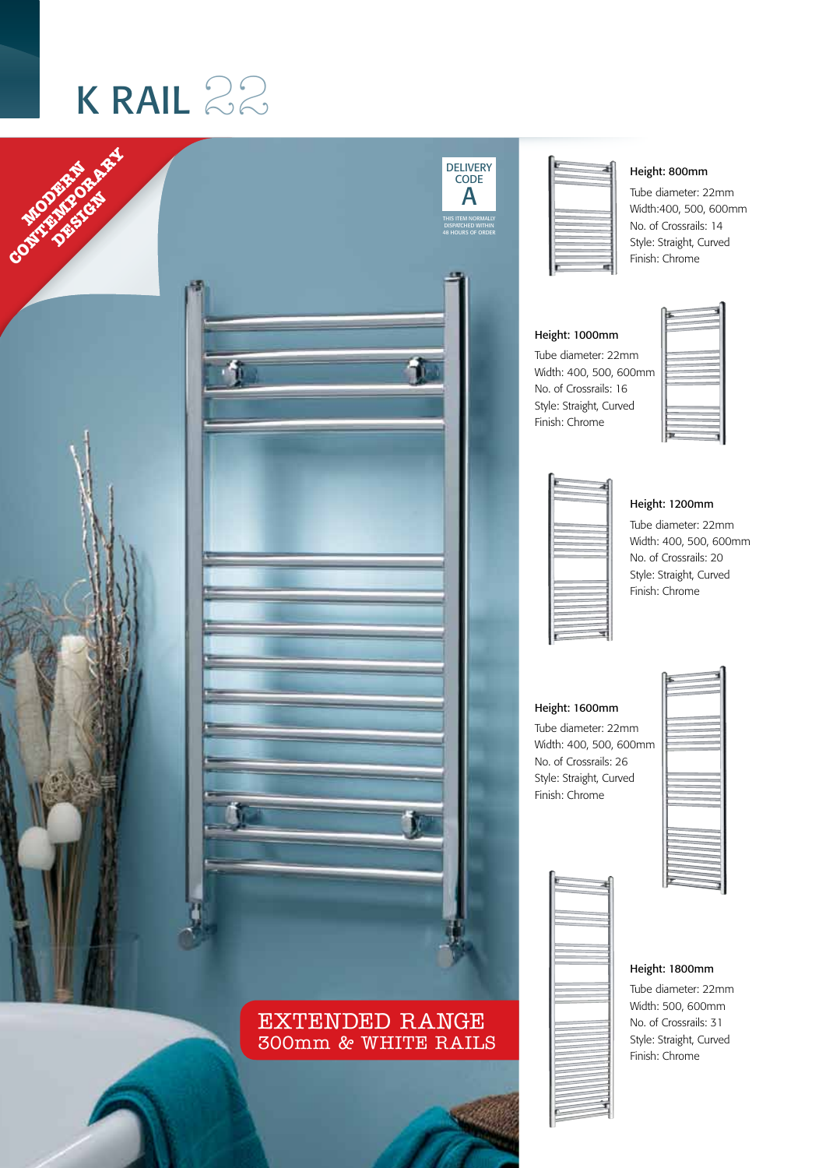## K RAIL  $22$